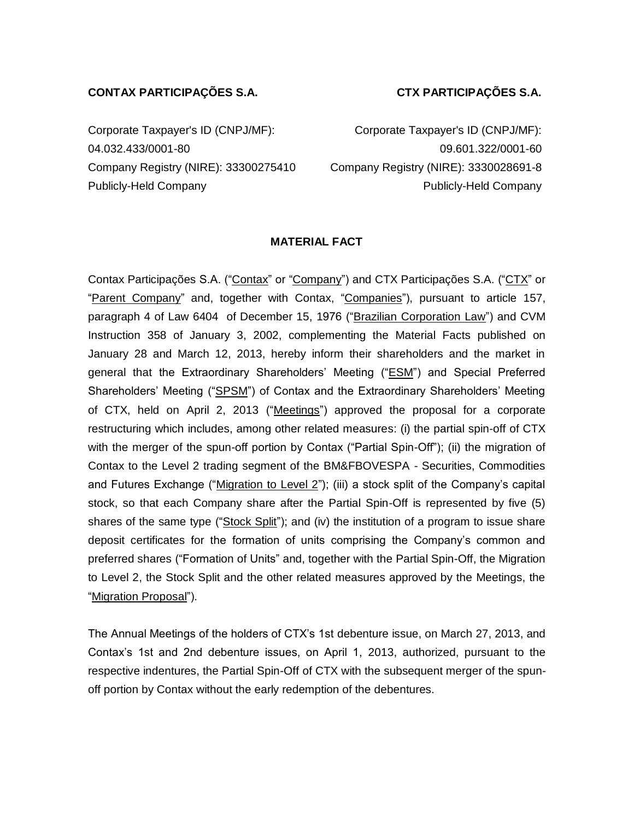## **CONTAX PARTICIPAÇÕES S.A.**

**CTX PARTICIPAÇÕES S.A.**

Corporate Taxpayer's ID (CNPJ/MF): 04.032.433/0001-80 Company Registry (NIRE): 33300275410 Publicly-Held Company

Corporate Taxpayer's ID (CNPJ/MF): 09.601.322/0001-60 Company Registry (NIRE): 3330028691-8 Publicly-Held Company

## **MATERIAL FACT**

Contax Participações S.A. ("Contax" or "Company") and CTX Participações S.A. ("CTX" or "Parent Company" and, together with Contax, "Companies"), pursuant to article 157, paragraph 4 of Law 6404 of December 15, 1976 ("Brazilian Corporation Law") and CVM Instruction 358 of January 3, 2002, complementing the Material Facts published on January 28 and March 12, 2013, hereby inform their shareholders and the market in general that the Extraordinary Shareholders' Meeting ("ESM") and Special Preferred Shareholders' Meeting ("SPSM") of Contax and the Extraordinary Shareholders' Meeting of CTX, held on April 2, 2013 ("Meetings") approved the proposal for a corporate restructuring which includes, among other related measures: (i) the partial spin-off of CTX with the merger of the spun-off portion by Contax ("Partial Spin-Off"); (ii) the migration of Contax to the Level 2 trading segment of the BM&FBOVESPA - Securities, Commodities and Futures Exchange ("Migration to Level 2"); (iii) a stock split of the Company's capital stock, so that each Company share after the Partial Spin-Off is represented by five (5) shares of the same type ("Stock Split"); and (iv) the institution of a program to issue share deposit certificates for the formation of units comprising the Company's common and preferred shares ("Formation of Units" and, together with the Partial Spin-Off, the Migration to Level 2, the Stock Split and the other related measures approved by the Meetings, the "Migration Proposal").

The Annual Meetings of the holders of CTX's 1st debenture issue, on March 27, 2013, and Contax's 1st and 2nd debenture issues, on April 1, 2013, authorized, pursuant to the respective indentures, the Partial Spin-Off of CTX with the subsequent merger of the spunoff portion by Contax without the early redemption of the debentures.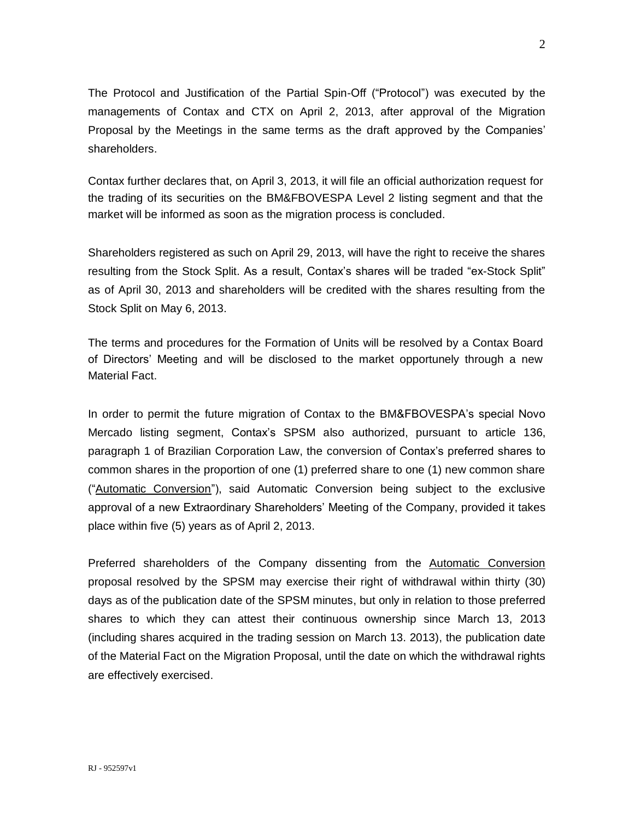The Protocol and Justification of the Partial Spin-Off ("Protocol") was executed by the managements of Contax and CTX on April 2, 2013, after approval of the Migration Proposal by the Meetings in the same terms as the draft approved by the Companies' shareholders.

Contax further declares that, on April 3, 2013, it will file an official authorization request for the trading of its securities on the BM&FBOVESPA Level 2 listing segment and that the market will be informed as soon as the migration process is concluded.

Shareholders registered as such on April 29, 2013, will have the right to receive the shares resulting from the Stock Split. As a result, Contax's shares will be traded "ex-Stock Split" as of April 30, 2013 and shareholders will be credited with the shares resulting from the Stock Split on May 6, 2013.

The terms and procedures for the Formation of Units will be resolved by a Contax Board of Directors' Meeting and will be disclosed to the market opportunely through a new Material Fact.

In order to permit the future migration of Contax to the BM&FBOVESPA's special Novo Mercado listing segment, Contax's SPSM also authorized, pursuant to article 136, paragraph 1 of Brazilian Corporation Law, the conversion of Contax's preferred shares to common shares in the proportion of one (1) preferred share to one (1) new common share ("Automatic Conversion"), said Automatic Conversion being subject to the exclusive approval of a new Extraordinary Shareholders' Meeting of the Company, provided it takes place within five (5) years as of April 2, 2013.

Preferred shareholders of the Company dissenting from the Automatic Conversion proposal resolved by the SPSM may exercise their right of withdrawal within thirty (30) days as of the publication date of the SPSM minutes, but only in relation to those preferred shares to which they can attest their continuous ownership since March 13, 2013 (including shares acquired in the trading session on March 13. 2013), the publication date of the Material Fact on the Migration Proposal, until the date on which the withdrawal rights are effectively exercised.